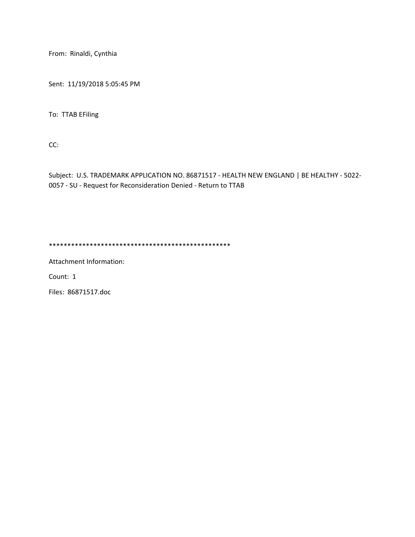From: Rinaldi, Cynthia

Sent: 11/19/2018 5:05:45 PM

To: TTAB EFiling

CC:

Subject: U.S. TRADEMARK APPLICATION NO. 86871517 - HEALTH NEW ENGLAND | BE HEALTHY - 5022- 0057 - SU - Request for Reconsideration Denied - Return to TTAB

\*\*\*\*\*\*\*\*\*\*\*\*\*\*\*\*\*\*\*\*\*\*\*\*\*\*\*\*\*\*\*\*\*\*\*\*\*\*\*\*\*\*\*\*\*\*\*\*\*

Attachment Information:

Count: 1

Files: 86871517.doc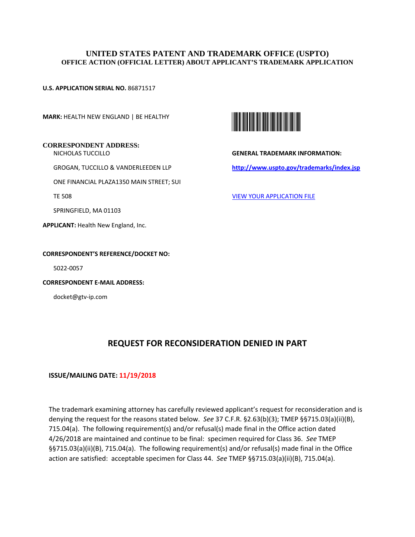### **UNITED STATES PATENT AND TRADEMARK OFFICE (USPTO) OFFICE ACTION (OFFICIAL LETTER) ABOUT APPLICANT'S TRADEMARK APPLICATION**

**U.S. APPLICATION SERIAL NO.** 86871517

**MARK:** HEALTH NEW ENGLAND | BE HEALTHY

## **CORRESPONDENT ADDRESS:**

NICHOLAS TUCCILLO

GROGAN, TUCCILLO & VANDERLEEDEN LLP

ONE FINANCIAL PLAZA1350 MAIN STREET; SUI

TE 508

SPRINGFIELD, MA 01103

**APPLICANT:** Health New England, Inc.

#### **CORRESPONDENT'S REFERENCE/DOCKET NO:**

5022-0057

**CORRESPONDENT E-MAIL ADDRESS:**

docket@gtv-ip.com



**GENERAL TRADEMARK INFORMATION: http://www.uspto.gov/trademarks/index.jsp** 

VIEW YOUR APPLICATION FILE

# **REQUEST FOR RECONSIDERATION DENIED IN PART**

#### **ISSUE/MAILING DATE: 11/19/2018**

The trademark examining attorney has carefully reviewed applicant's request for reconsideration and is denying the request for the reasons stated below. *See* 37 C.F.R. §2.63(b)(3); TMEP §§715.03(a)(ii)(B), 715.04(a). The following requirement(s) and/or refusal(s) made final in the Office action dated 4/26/2018 are maintained and continue to be final: specimen required for Class 36. *See* TMEP §§715.03(a)(ii)(B), 715.04(a). The following requirement(s) and/or refusal(s) made final in the Office action are satisfied: acceptable specimen for Class 44. *See* TMEP §§715.03(a)(ii)(B), 715.04(a).